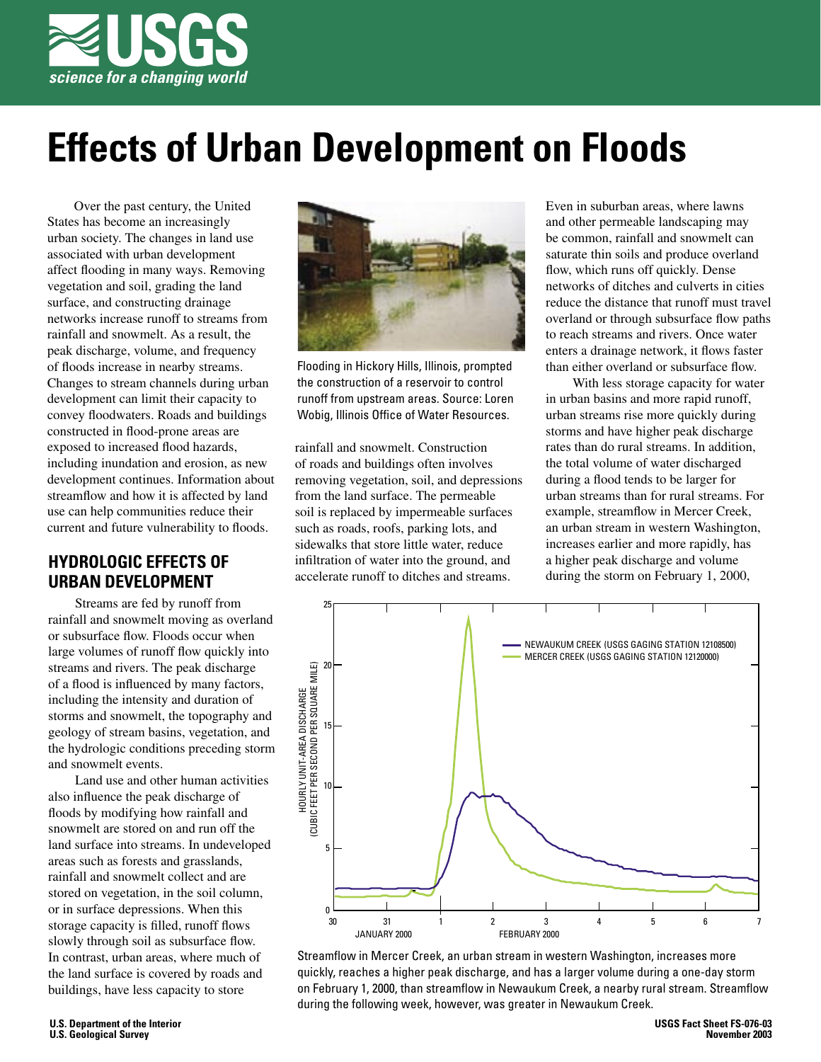

# **Effects of Urban Development on Floods**

Over the past century, the United States has become an increasingly urban society. The changes in land use associated with urban development affect flooding in many ways. Removing vegetation and soil, grading the land surface, and constructing drainage networks increase runoff to streams from rainfall and snowmelt. As a result, the peak discharge, volume, and frequency of floods increase in nearby streams. Changes to stream channels during urban development can limit their capacity to convey floodwaters. Roads and buildings constructed in flood-prone areas are exposed to increased flood hazards, including inundation and erosion, as new development continues. Information about streamflow and how it is affected by land use can help communities reduce their current and future vulnerability to floods.

## **HYDROLOGIC EFFECTS OF URBAN DEVELOPMENT**

Streams are fed by runoff from rainfall and snowmelt moving as overland or subsurface flow. Floods occur when large volumes of runoff flow quickly into streams and rivers. The peak discharge of a flood is influenced by many factors, including the intensity and duration of storms and snowmelt, the topography and geology of stream basins, vegetation, and the hydrologic conditions preceding storm and snowmelt events.

Land use and other human activities also influence the peak discharge of floods by modifying how rainfall and snowmelt are stored on and run off the land surface into streams. In undeveloped areas such as forests and grasslands, rainfall and snowmelt collect and are stored on vegetation, in the soil column, or in surface depressions. When this storage capacity is filled, runoff flows slowly through soil as subsurface flow. In contrast, urban areas, where much of the land surface is covered by roads and buildings, have less capacity to store



Flooding in Hickory Hills, Illinois, prompted the construction of a reservoir to control runoff from upstream areas. Source: Loren Wobig, Illinois Office of Water Resources.

rainfall and snowmelt. Construction of roads and buildings often involves removing vegetation, soil, and depressions from the land surface. The permeable soil is replaced by impermeable surfaces such as roads, roofs, parking lots, and sidewalks that store little water, reduce infiltration of water into the ground, and accelerate runoff to ditches and streams.

Even in suburban areas, where lawns and other permeable landscaping may be common, rainfall and snowmelt can saturate thin soils and produce overland flow, which runs off quickly. Dense networks of ditches and culverts in cities reduce the distance that runoff must travel overland or through subsurface flow paths to reach streams and rivers. Once water enters a drainage network, it flows faster than either overland or subsurface flow.

With less storage capacity for water in urban basins and more rapid runoff, urban streams rise more quickly during storms and have higher peak discharge rates than do rural streams. In addition, the total volume of water discharged during a flood tends to be larger for urban streams than for rural streams. For example, streamflow in Mercer Creek, an urban stream in western Washington. increases earlier and more rapidly, has a higher peak discharge and volume during the storm on February 1, 2000,



Streamflow in Mercer Creek, an urban stream in western Washington, increases more quickly, reaches a higher peak discharge, and has a larger volume during a one-day storm on February 1, 2000, than streamflow in Newaukum Creek, a nearby rural stream. Streamflow during the following week, however, was greater in Newaukum Creek.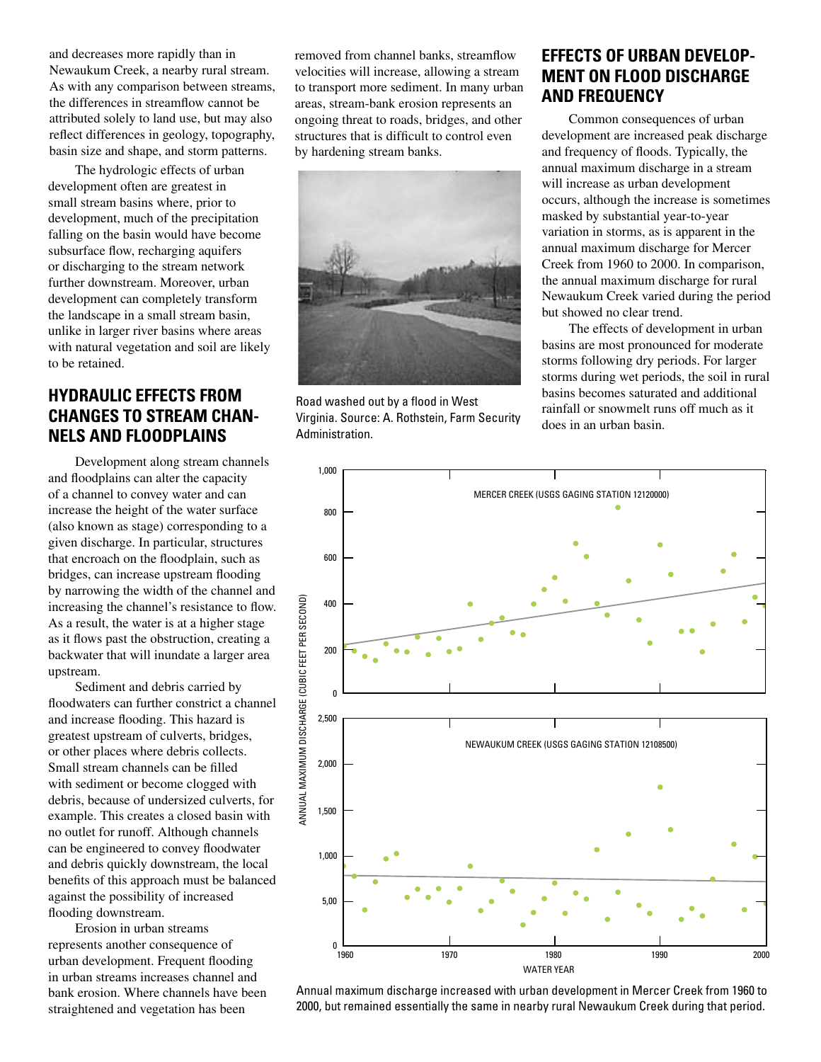and decreases more rapidly than in Newaukum Creek, a nearby rural stream. As with any comparison between streams, the differences in streamflow cannot be attributed solely to land use, but may also reflect differences in geology, topography, basin size and shape, and storm patterns.

The hydrologic effects of urban development often are greatest in small stream basins where, prior to development, much of the precipitation falling on the basin would have become subsurface flow, recharging aquifers or discharging to the stream network further downstream. Moreover, urban development can completely transform the landscape in a small stream basin, unlike in larger river basins where areas with natural vegetation and soil are likely to be retained.

#### **HYDRAULIC EFFECTS FROM CHANGES TO STREAM CHAN-NELS AND FLOODPLAINS**

Development along stream channels and floodplains can alter the capacity of a channel to convey water and can increase the height of the water surface (also known as stage) corresponding to a given discharge. In particular, structures that encroach on the floodplain, such as bridges, can increase upstream flooding by narrowing the width of the channel and increasing the channel's resistance to flow. As a result, the water is at a higher stage as it flows past the obstruction, creating a backwater that will inundate a larger area upstream.

Sediment and debris carried by floodwaters can further constrict a channel and increase flooding. This hazard is greatest upstream of culverts, bridges, or other places where debris collects. Small stream channels can be filled with sediment or become clogged with debris, because of undersized culverts, for example. This creates a closed basin with no outlet for runoff. Although channels can be engineered to convey floodwater and debris quickly downstream, the local benefits of this approach must be balanced against the possibility of increased flooding downstream.

Erosion in urban streams represents another consequence of urban development. Frequent flooding in urban streams increases channel and bank erosion. Where channels have been straightened and vegetation has been

removed from channel banks, streamflow velocities will increase, allowing a stream to transport more sediment. In many urban areas, stream-bank erosion represents an ongoing threat to roads, bridges, and other structures that is difficult to control even by hardening stream banks.



Road washed out by a flood in West Virginia. Source: A. Rothstein, Farm Security Administration.

## **EFFECTS OF URBAN DEVELOP-MENT ON FLOOD DISCHARGE AND FREQUENCY**

Common consequences of urban development are increased peak discharge and frequency of floods. Typically, the annual maximum discharge in a stream will increase as urban development occurs, although the increase is sometimes masked by substantial year-to-year variation in storms, as is apparent in the annual maximum discharge for Mercer Creek from 1960 to 2000. In comparison, the annual maximum discharge for rural Newaukum Creek varied during the period but showed no clear trend.

The effects of development in urban basins are most pronounced for moderate storms following dry periods. For larger storms during wet periods, the soil in rural basins becomes saturated and additional rainfall or snowmelt runs off much as it does in an urban basin.



Annual maximum discharge increased with urban development in Mercer Creek from 1960 to 2000, but remained essentially the same in nearby rural Newaukum Creek during that period.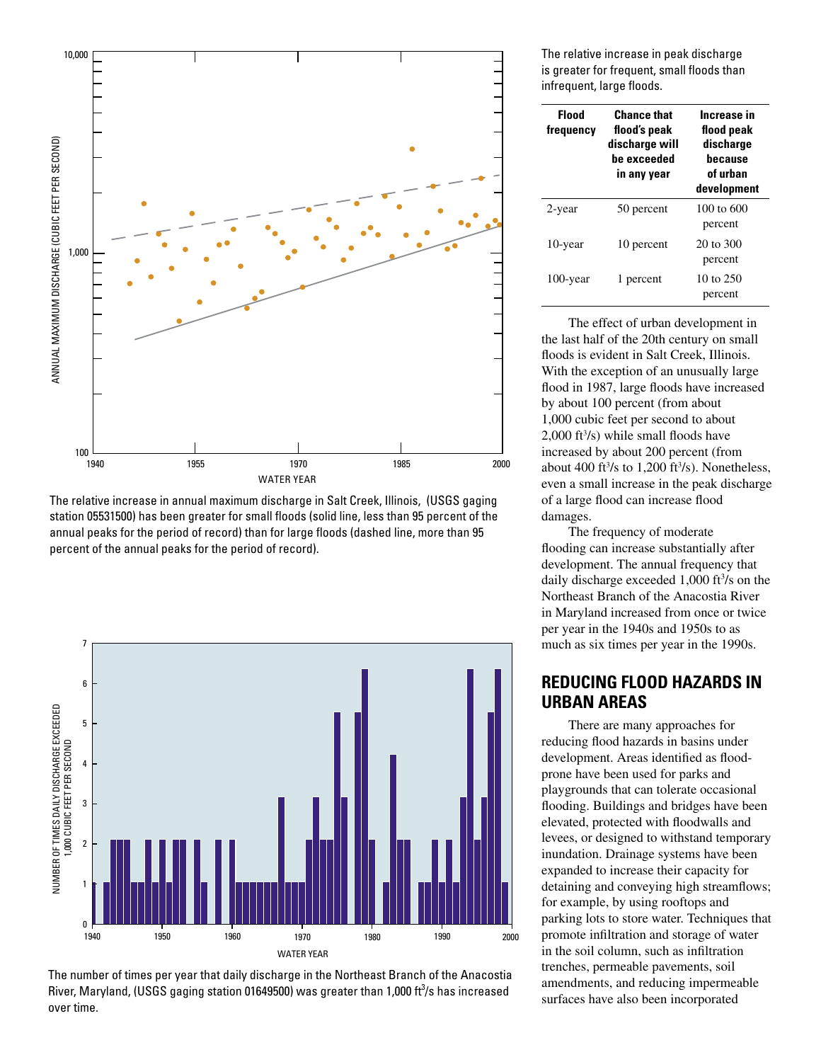

The relative increase in annual maximum discharge in Salt Creek, Illinois, (USGS gaging station 05531500) has been greater for small floods (solid line, less than 95 percent of the annual peaks for the period of record) than for large floods (dashed line, more than 95 percent of the annual peaks for the period of record).



The number of times per year that daily discharge in the Northeast Branch of the Anacostia River, Maryland, (USGS gaging station 01649500) was greater than 1,000 ft<sup>3</sup>/s has increased over time.

The relative increase in peak discharge is greater for frequent, small floods than infrequent, large floods.

| <b>Flood</b><br>frequency | <b>Chance that</b><br>flood's peak<br>discharge will<br>be exceeded<br>in any year | Increase in<br>flood peak<br>discharge<br><b>because</b><br>of urban<br>development |
|---------------------------|------------------------------------------------------------------------------------|-------------------------------------------------------------------------------------|
| 2-year                    | 50 percent                                                                         | $100 \text{ to } 600$<br>percent                                                    |
| 10-year                   | 10 percent                                                                         | 20 to 300<br>percent                                                                |
| 100-year                  | 1 percent                                                                          | 10 to 250<br>percent                                                                |

The effect of urban development in the last half of the 20th century on small floods is evident in Salt Creek, Illinois. With the exception of an unusually large flood in 1987, large floods have increased by about 100 percent (from about 1,000 cubic feet per second to about  $2,000$  ft<sup>3</sup>/s) while small floods have increased by about 200 percent (from about 400 ft $\frac{3}{s}$  to 1,200 ft $\frac{3}{s}$ ). Nonetheless, even a small increase in the peak discharge of a large flood can increase flood damages.

The frequency of moderate flooding can increase substantially after development. The annual frequency that daily discharge exceeded 1,000  $\text{ft}^3\text{/s}$  on the Northeast Branch of the Anacostia River in Maryland increased from once or twice per year in the 1940s and 1950s to as much as six times per year in the 1990s.

## **REDUCING FLOOD HAZARDS IN URBAN AREAS**

There are many approaches for reducing flood hazards in basins under development. Areas identified as floodprone have been used for parks and playgrounds that can tolerate occasional flooding. Buildings and bridges have been elevated, protected with floodwalls and levees, or designed to withstand temporary inundation. Drainage systems have been expanded to increase their capacity for detaining and conveying high streamflows; for example, by using rooftops and parking lots to store water. Techniques that promote infiltration and storage of water in the soil column, such as infiltration trenches, permeable pavements, soil amendments, and reducing impermeable surfaces have also been incorporated